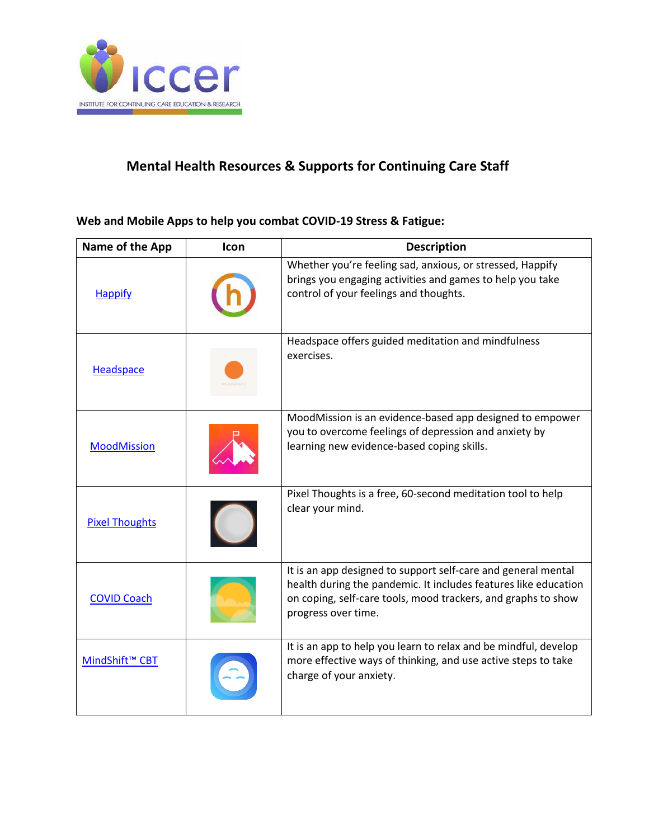

## **Mental Health Resources & Supports for Continuing Care Staff**

## **Web and Mobile Apps to help you combat COVID-19 Stress & Fatigue:**

| Name of the App            | Icon | <b>Description</b>                                                                                                                                                                                                       |
|----------------------------|------|--------------------------------------------------------------------------------------------------------------------------------------------------------------------------------------------------------------------------|
| <b>Happify</b>             |      | Whether you're feeling sad, anxious, or stressed, Happify<br>brings you engaging activities and games to help you take<br>control of your feelings and thoughts.                                                         |
| Headspace                  |      | Headspace offers guided meditation and mindfulness<br>exercises.                                                                                                                                                         |
| <b>MoodMission</b>         |      | MoodMission is an evidence-based app designed to empower<br>you to overcome feelings of depression and anxiety by<br>learning new evidence-based coping skills.                                                          |
| <b>Pixel Thoughts</b>      |      | Pixel Thoughts is a free, 60-second meditation tool to help<br>clear your mind.                                                                                                                                          |
| <b>COVID Coach</b>         |      | It is an app designed to support self-care and general mental<br>health during the pandemic. It includes features like education<br>on coping, self-care tools, mood trackers, and graphs to show<br>progress over time. |
| MindShift <sup>™</sup> CBT |      | It is an app to help you learn to relax and be mindful, develop<br>more effective ways of thinking, and use active steps to take<br>charge of your anxiety.                                                              |